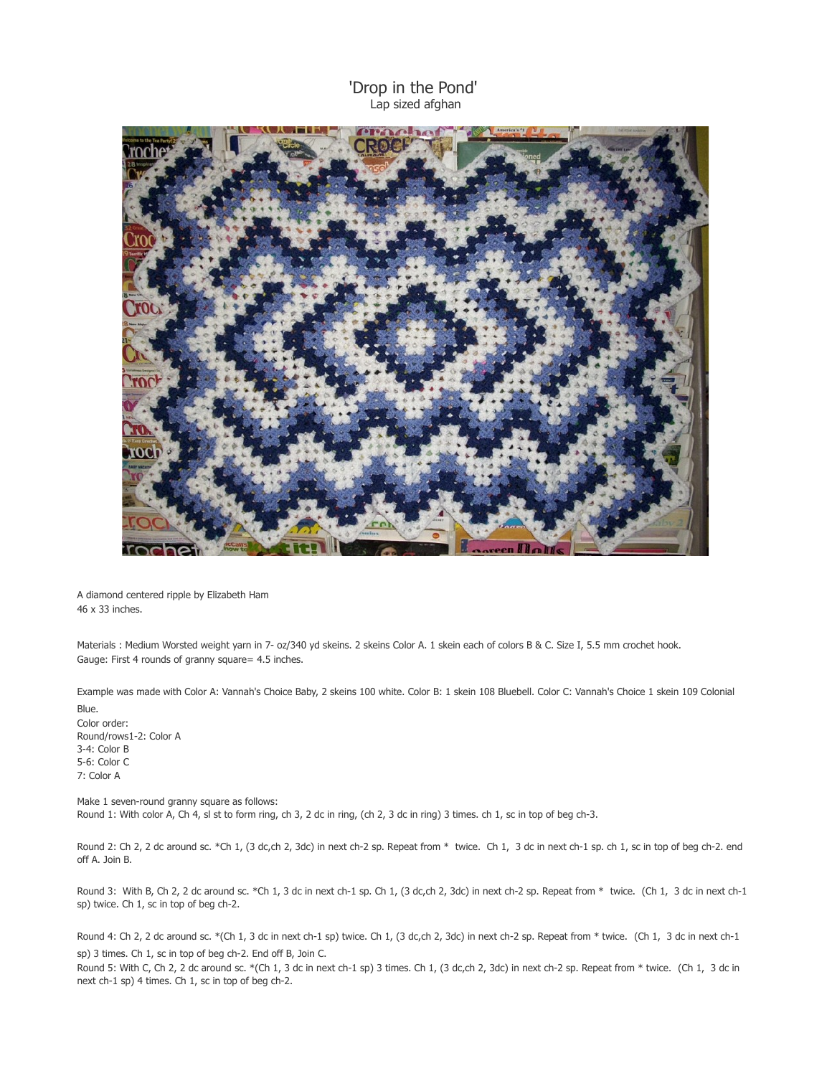## 'Drop in the Pond' Lap sized afghan



A diamond centered ripple by Elizabeth Ham 46 x 33 inches.

Materials : Medium Worsted weight yarn in 7- oz/340 yd skeins. 2 skeins Color A. 1 skein each of colors B & C. Size I, 5.5 mm crochet hook. Gauge: First 4 rounds of granny square= 4.5 inches.

Example was made with Color A: Vannah's Choice Baby, 2 skeins 100 white. Color B: 1 skein 108 Bluebell. Color C: Vannah's Choice 1 skein 109 Colonial Blue.

Color order: Round/rows1-2: Color A 3-4: Color B 5-6: Color C 7: Color A

Make 1 seven-round granny square as follows: Round 1: With color A, Ch 4, sl st to form ring, ch 3, 2 dc in ring, (ch 2, 3 dc in ring) 3 times. ch 1, sc in top of beg ch-3.

Round 2: Ch 2, 2 dc around sc. \*Ch 1, (3 dc,ch 2, 3dc) in next ch-2 sp. Repeat from \* twice. Ch 1, 3 dc in next ch-1 sp. ch 1, sc in top of beg ch-2. end off A. Join B.

Round 3: With B, Ch 2, 2 dc around sc. \*Ch 1, 3 dc in next ch-1 sp. Ch 1, (3 dc,ch 2, 3dc) in next ch-2 sp. Repeat from \* twice. (Ch 1, 3 dc in next ch-1 sp) twice. Ch 1, sc in top of beg ch-2.

Round 4: Ch 2, 2 dc around sc. \*(Ch 1, 3 dc in next ch-1 sp) twice. Ch 1, (3 dc,ch 2, 3dc) in next ch-2 sp. Repeat from \* twice. (Ch 1, 3 dc in next ch-1 sp) 3 times. Ch 1, sc in top of beg ch-2. End off B, Join C.

Round 5: With C, Ch 2, 2 dc around sc. \*(Ch 1, 3 dc in next ch-1 sp) 3 times. Ch 1, (3 dc,ch 2, 3dc) in next ch-2 sp. Repeat from \* twice. (Ch 1, 3 dc in next ch-1 sp) 4 times. Ch 1, sc in top of beg ch-2.